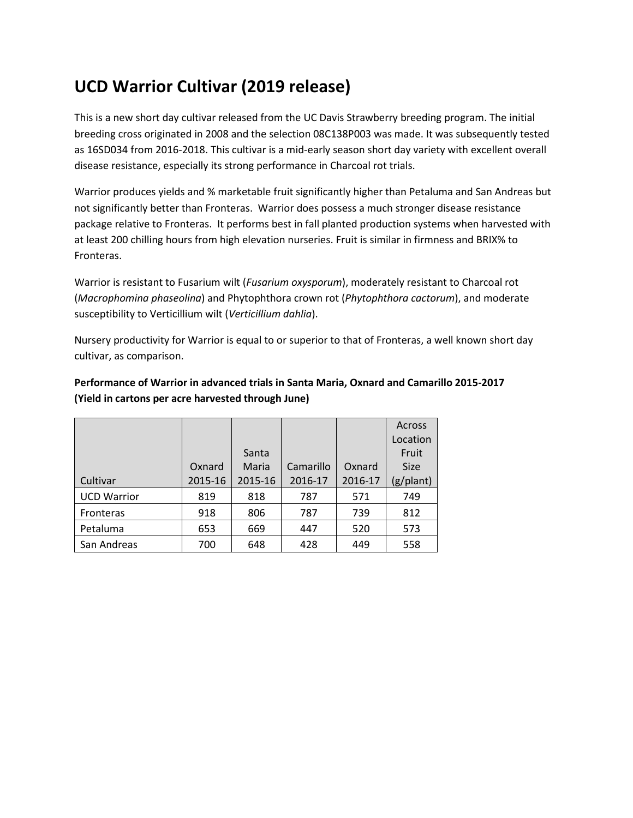## **UCD Warrior Cultivar (2019 release)**

This is a new short day cultivar released from the UC Davis Strawberry breeding program. The initial breeding cross originated in 2008 and the selection 08C138P003 was made. It was subsequently tested as 16SD034 from 2016-2018. This cultivar is a mid-early season short day variety with excellent overall disease resistance, especially its strong performance in Charcoal rot trials.

Warrior produces yields and % marketable fruit significantly higher than Petaluma and San Andreas but not significantly better than Fronteras. Warrior does possess a much stronger disease resistance package relative to Fronteras. It performs best in fall planted production systems when harvested with at least 200 chilling hours from high elevation nurseries. Fruit is similar in firmness and BRIX% to Fronteras.

Warrior is resistant to Fusarium wilt (*Fusarium oxysporum*), moderately resistant to Charcoal rot (*Macrophomina phaseolina*) and Phytophthora crown rot (*Phytophthora cactorum*), and moderate susceptibility to Verticillium wilt (*Verticillium dahlia*).

Nursery productivity for Warrior is equal to or superior to that of Fronteras, a well known short day cultivar, as comparison.

|                    |         |         |           |         | Across<br>Location |
|--------------------|---------|---------|-----------|---------|--------------------|
|                    |         | Santa   |           |         | Fruit              |
|                    | Oxnard  | Maria   | Camarillo | Oxnard  | <b>Size</b>        |
| Cultivar           | 2015-16 | 2015-16 | 2016-17   | 2016-17 | (g/plant)          |
| <b>UCD Warrior</b> | 819     | 818     | 787       | 571     | 749                |
| <b>Fronteras</b>   | 918     | 806     | 787       | 739     | 812                |
| Petaluma           | 653     | 669     | 447       | 520     | 573                |
| San Andreas        | 700     | 648     | 428       | 449     | 558                |

## **Performance of Warrior in advanced trials in Santa Maria, Oxnard and Camarillo 2015-2017 (Yield in cartons per acre harvested through June)**